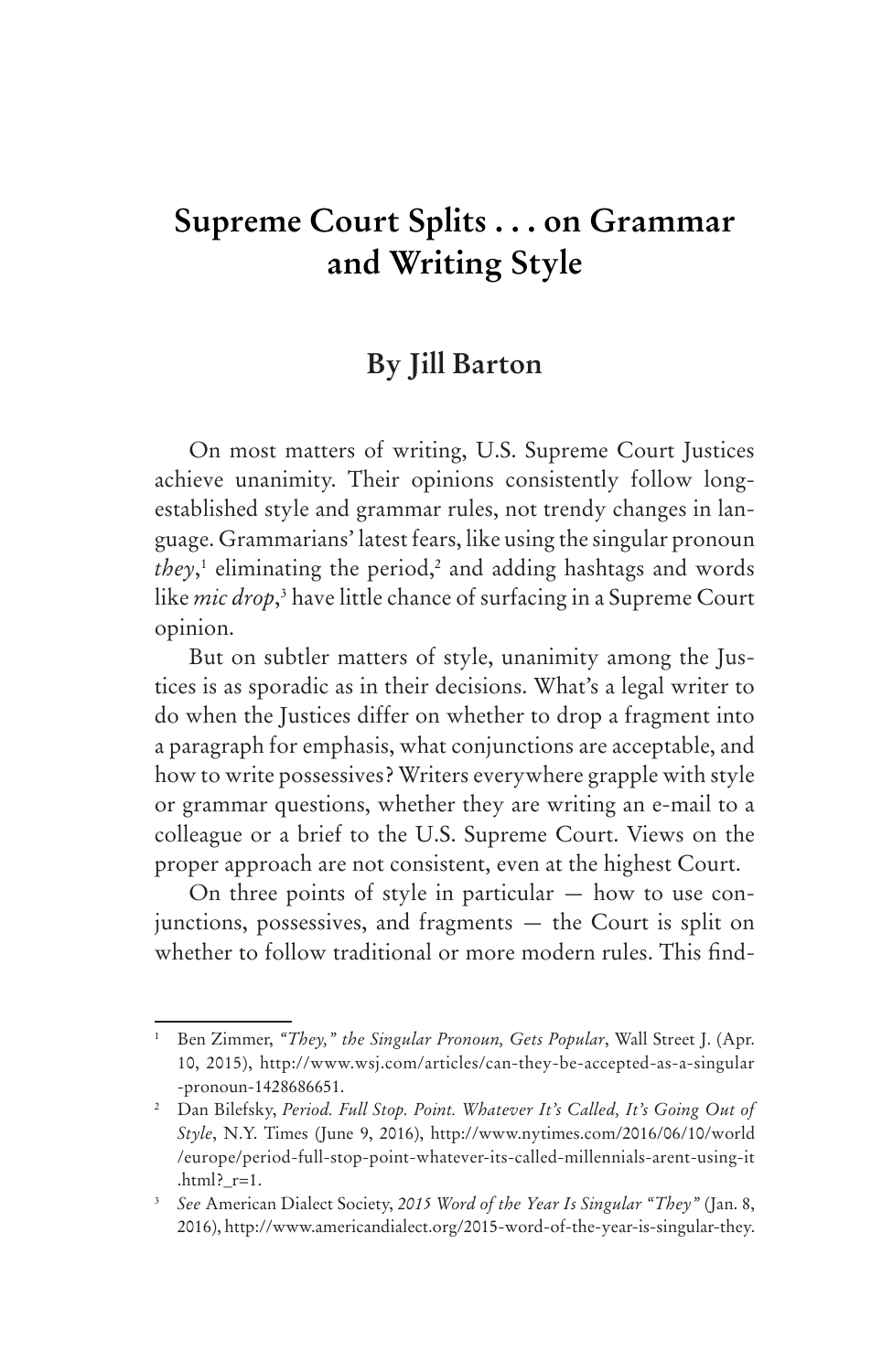# **Supreme Court Splits . . . on Grammar and Writing Style**

# **By Jill Barton**

On most matters of writing, U.S. Supreme Court Justices achieve unanimity. Their opinions consistently follow longestablished style and grammar rules, not trendy changes in language. Grammarians' latest fears, like using the singular pronoun they,<sup>1</sup> eliminating the period,<sup>2</sup> and adding hashtags and words like *mic drop*, 3 have little chance of surfacing in a Supreme Court opinion.

But on subtler matters of style, unanimity among the Justices is as sporadic as in their decisions. What's a legal writer to do when the Justices differ on whether to drop a fragment into a paragraph for emphasis, what conjunctions are acceptable, and how to write possessives? Writers everywhere grapple with style or grammar questions, whether they are writing an e-mail to a colleague or a brief to the U.S. Supreme Court. Views on the proper approach are not consistent, even at the highest Court.

On three points of style in particular  $-$  how to use conjunctions, possessives, and fragments — the Court is split on whether to follow traditional or more modern rules. This find-

<sup>1</sup> Ben Zimmer, *"They," the Singular Pronoun, Gets Popular*, Wall Street J. (Apr. 10, 2015), http://www.wsj.com/articles/can-they-be-accepted-as-a-singular -pronoun-1428686651.

<sup>&</sup>lt;sup>2</sup> Dan Bilefsky, *Period. Full Stop. Point. Whatever It's Called, It's Going Out of Style*, N.Y. Times (June 9, 2016), http://www.nytimes.com/2016/06/10/world /europe/period-full-stop-point-whatever-its-called-millennials-arent-using-it .html?  $r=1$ .

<sup>3</sup> *See* American Dialect Society, *2015 Word of the Year Is Singular "They"* (Jan. 8, 2016), http://www.americandialect.org/2015-word-of-the-year-is-singular-they.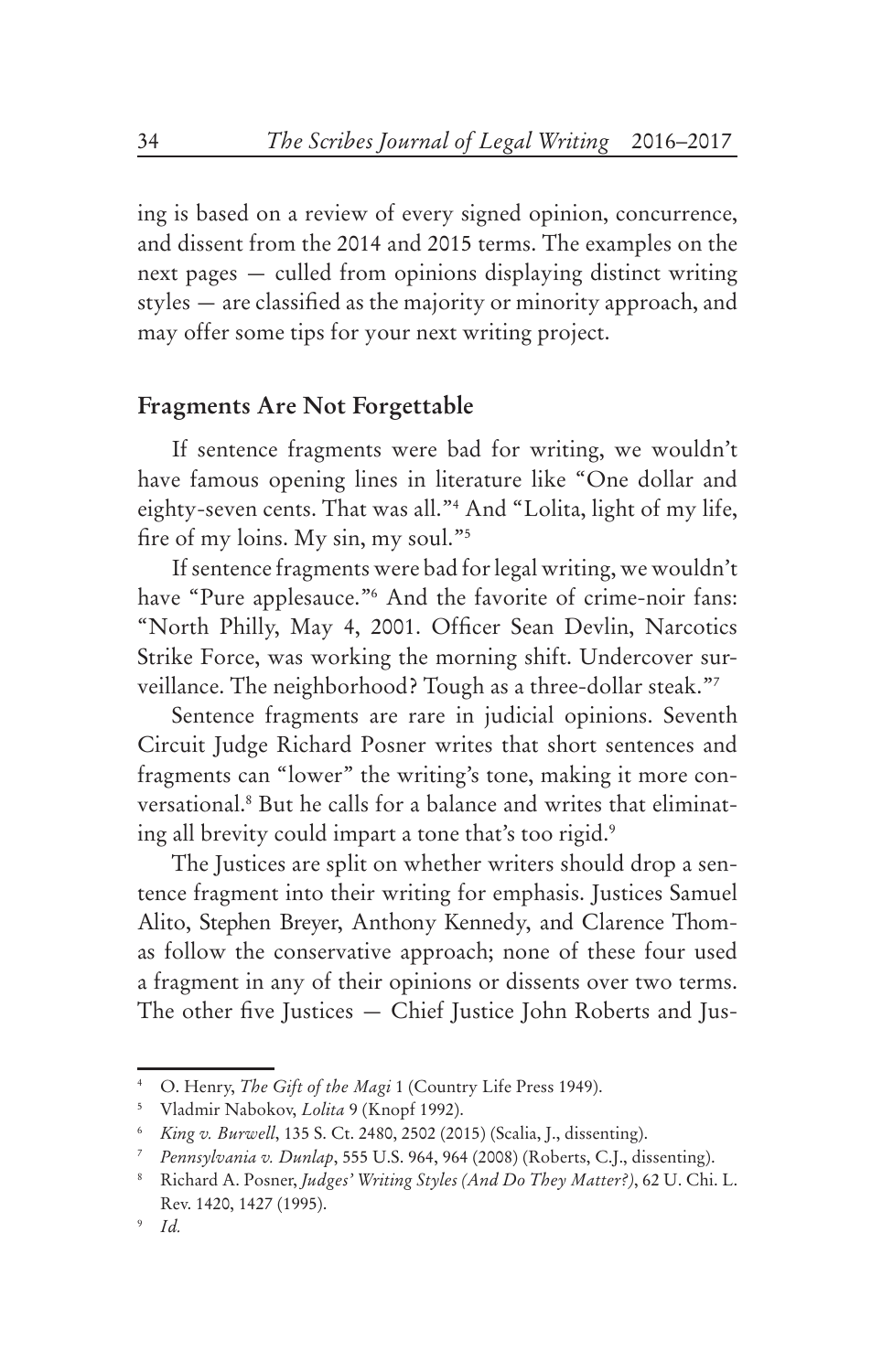ing is based on a review of every signed opinion, concurrence, and dissent from the 2014 and 2015 terms. The examples on the next pages — culled from opinions displaying distinct writing styles — are classified as the majority or minority approach, and may offer some tips for your next writing project.

#### **Fragments Are Not Forgettable**

If sentence fragments were bad for writing, we wouldn't have famous opening lines in literature like "One dollar and eighty-seven cents. That was all."4 And "Lolita, light of my life, fire of my loins. My sin, my soul."5

If sentence fragments were bad for legal writing, we wouldn't have "Pure applesauce."6 And the favorite of crime-noir fans: "North Philly, May 4, 2001. Officer Sean Devlin, Narcotics Strike Force, was working the morning shift. Undercover surveillance. The neighborhood? Tough as a three-dollar steak."7

Sentence fragments are rare in judicial opinions. Seventh Circuit Judge Richard Posner writes that short sentences and fragments can "lower" the writing's tone, making it more conversational.8 But he calls for a balance and writes that eliminating all brevity could impart a tone that's too rigid.<sup>9</sup>

The Justices are split on whether writers should drop a sentence fragment into their writing for emphasis. Justices Samuel Alito, Stephen Breyer, Anthony Kennedy, and Clarence Thomas follow the conservative approach; none of these four used a fragment in any of their opinions or dissents over two terms. The other five Justices — Chief Justice John Roberts and Jus-

<sup>4</sup> O. Henry, *The Gift of the Magi* 1 (Country Life Press 1949).

<sup>5</sup> Vladmir Nabokov, *Lolita* 9 (Knopf 1992).

<sup>6</sup> *King v. Burwell*, 135 S. Ct. 2480, 2502 (2015) (Scalia, J., dissenting).

<sup>7</sup> *Pennsylvania v. Dunlap*, 555 U.S. 964, 964 (2008) (Roberts, C.J., dissenting).

<sup>8</sup> Richard A. Posner, *Judges' Writing Styles (And Do They Matter?)*, 62 U. Chi. L. Rev. 1420, 1427 (1995).

<sup>9</sup> *Id.*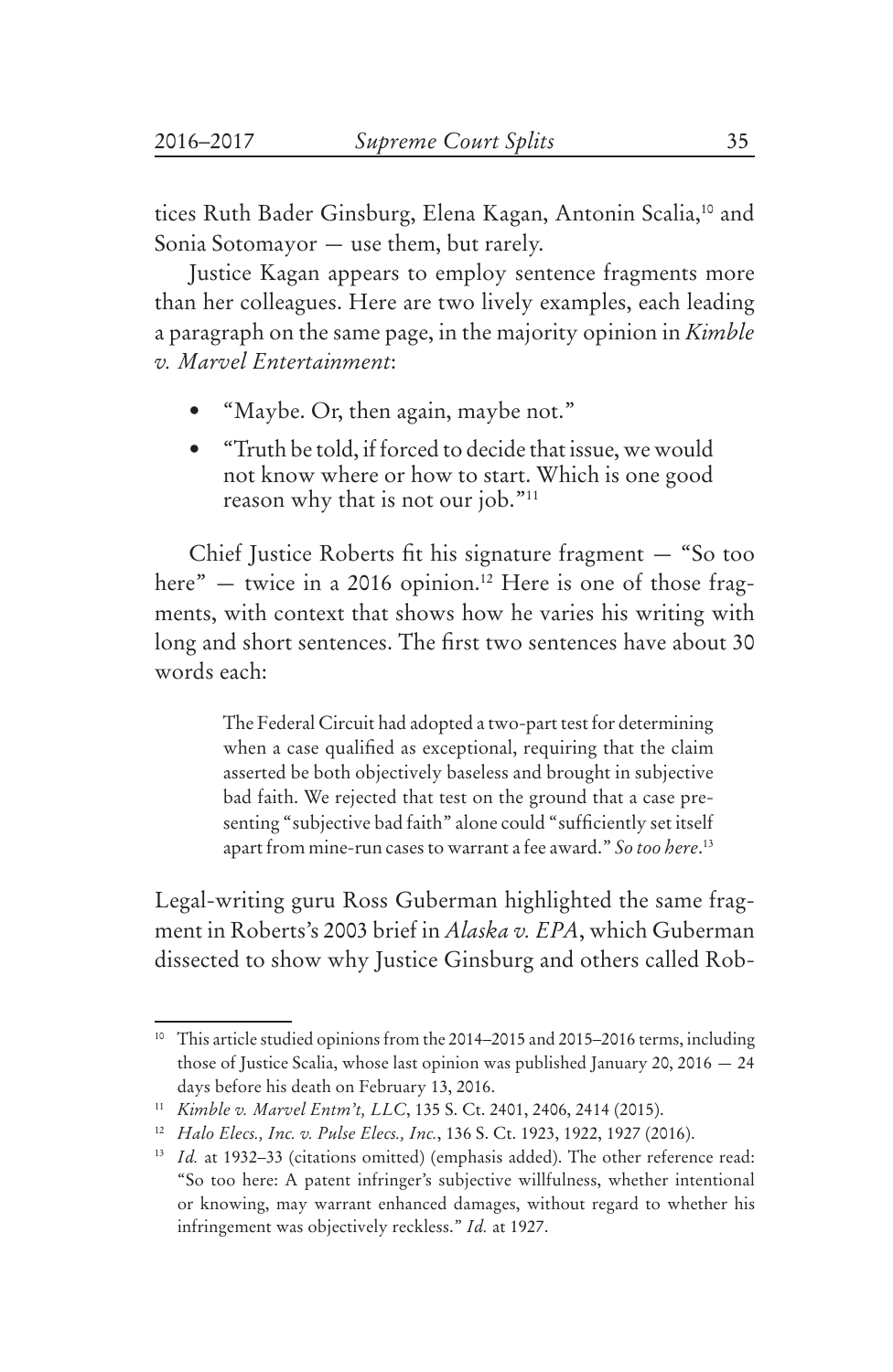tices Ruth Bader Ginsburg, Elena Kagan, Antonin Scalia,<sup>10</sup> and Sonia Sotomayor — use them, but rarely.

Justice Kagan appears to employ sentence fragments more than her colleagues. Here are two lively examples, each leading a paragraph on the same page, in the majority opinion in *Kimble v. Marvel Entertainment*:

- "Maybe. Or, then again, maybe not."
- "Truth be told, if forced to decide that issue, we would not know where or how to start. Which is one good reason why that is not our job."<sup>11</sup>

Chief Justice Roberts fit his signature fragment — "So too here" — twice in a 2016 opinion.<sup>12</sup> Here is one of those fragments, with context that shows how he varies his writing with long and short sentences. The first two sentences have about 30 words each:

> The Federal Circuit had adopted a two-part test for determining when a case qualified as exceptional, requiring that the claim asserted be both objectively baseless and brought in subjective bad faith. We rejected that test on the ground that a case presenting "subjective bad faith" alone could "sufficiently set itself apart from mine-run cases to warrant a fee award." *So too here*. 13

Legal-writing guru Ross Guberman highlighted the same fragment in Roberts's 2003 brief in *Alaska v. EPA*, which Guberman dissected to show why Justice Ginsburg and others called Rob-

<sup>&</sup>lt;sup>10</sup> This article studied opinions from the 2014–2015 and 2015–2016 terms, including those of Justice Scalia, whose last opinion was published January 20, 2016 — 24 days before his death on February 13, 2016.

<sup>11</sup> *Kimble v. Marvel Entm't, LLC*, 135 S. Ct. 2401, 2406, 2414 (2015).

<sup>12</sup> *Halo Elecs., Inc. v. Pulse Elecs., Inc.*, 136 S. Ct. 1923, 1922, 1927 (2016).

<sup>&</sup>lt;sup>13</sup> *Id.* at 1932-33 (citations omitted) (emphasis added). The other reference read: "So too here: A patent infringer's subjective willfulness, whether intentional or knowing, may warrant enhanced damages, without regard to whether his infringement was objectively reckless." *Id.* at 1927.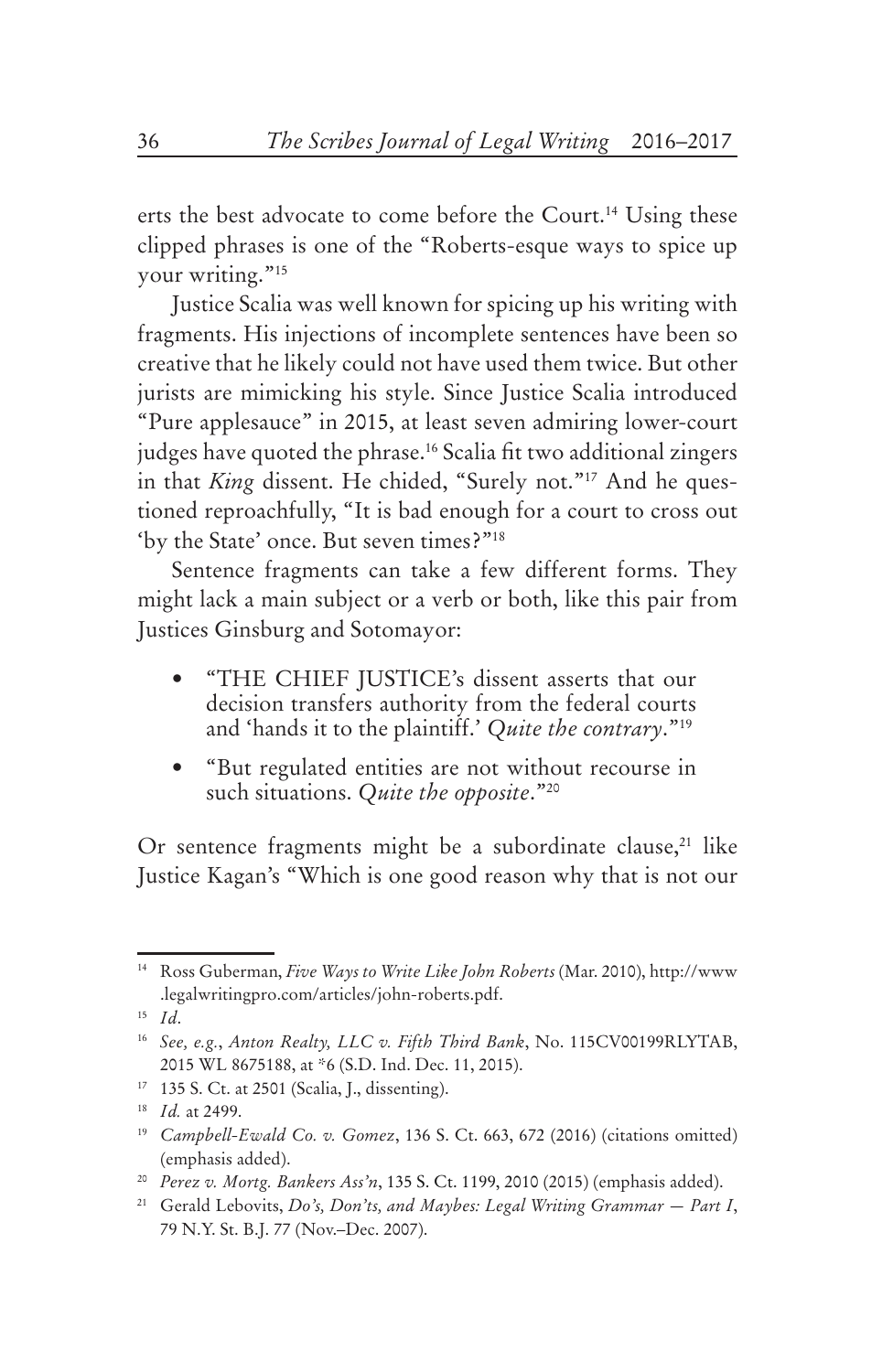erts the best advocate to come before the Court.<sup>14</sup> Using these clipped phrases is one of the "Roberts-esque ways to spice up your writing."<sup>15</sup>

Justice Scalia was well known for spicing up his writing with fragments. His injections of incomplete sentences have been so creative that he likely could not have used them twice. But other jurists are mimicking his style. Since Justice Scalia introduced "Pure applesauce" in 2015, at least seven admiring lower-court judges have quoted the phrase.<sup>16</sup> Scalia fit two additional zingers in that *King* dissent. He chided, "Surely not."<sup>17</sup> And he questioned reproachfully, "It is bad enough for a court to cross out 'by the State' once. But seven times?"18

Sentence fragments can take a few different forms. They might lack a main subject or a verb or both, like this pair from Justices Ginsburg and Sotomayor:

- "THE CHIEF JUSTICE's dissent asserts that our decision transfers authority from the federal courts and 'hands it to the plaintiff.' *Quite the contrary*."19
- • "But regulated entities are not without recourse in such situations. *Quite the opposite*."20

Or sentence fragments might be a subordinate clause,<sup>21</sup> like Justice Kagan's "Which is one good reason why that is not our

<sup>14</sup> Ross Guberman, *Five Ways to Write Like John Roberts* (Mar. 2010), http://www .legalwritingpro.com/articles/john-roberts.pdf.

<sup>15</sup> *Id*.

<sup>16</sup> *See, e.g.*, *Anton Realty, LLC v. Fifth Third Bank*, No. 115CV00199RLYTAB, 2015 WL 8675188, at \*6 (S.D. Ind. Dec. 11, 2015).

<sup>17</sup> 135 S. Ct. at 2501 (Scalia, J., dissenting).

<sup>18</sup> *Id.* at 2499.

<sup>19</sup> *Campbell-Ewald Co. v. Gomez*, 136 S. Ct. 663, 672 (2016) (citations omitted) (emphasis added).

<sup>20</sup> *Perez v. Mortg. Bankers Ass'n*, 135 S. Ct. 1199, 2010 (2015) (emphasis added).

<sup>21</sup> Gerald Lebovits, *Do's, Don'ts, and Maybes: Legal Writing Grammar — Part I*, 79 N.Y. St. B.J. 77 (Nov.–Dec. 2007).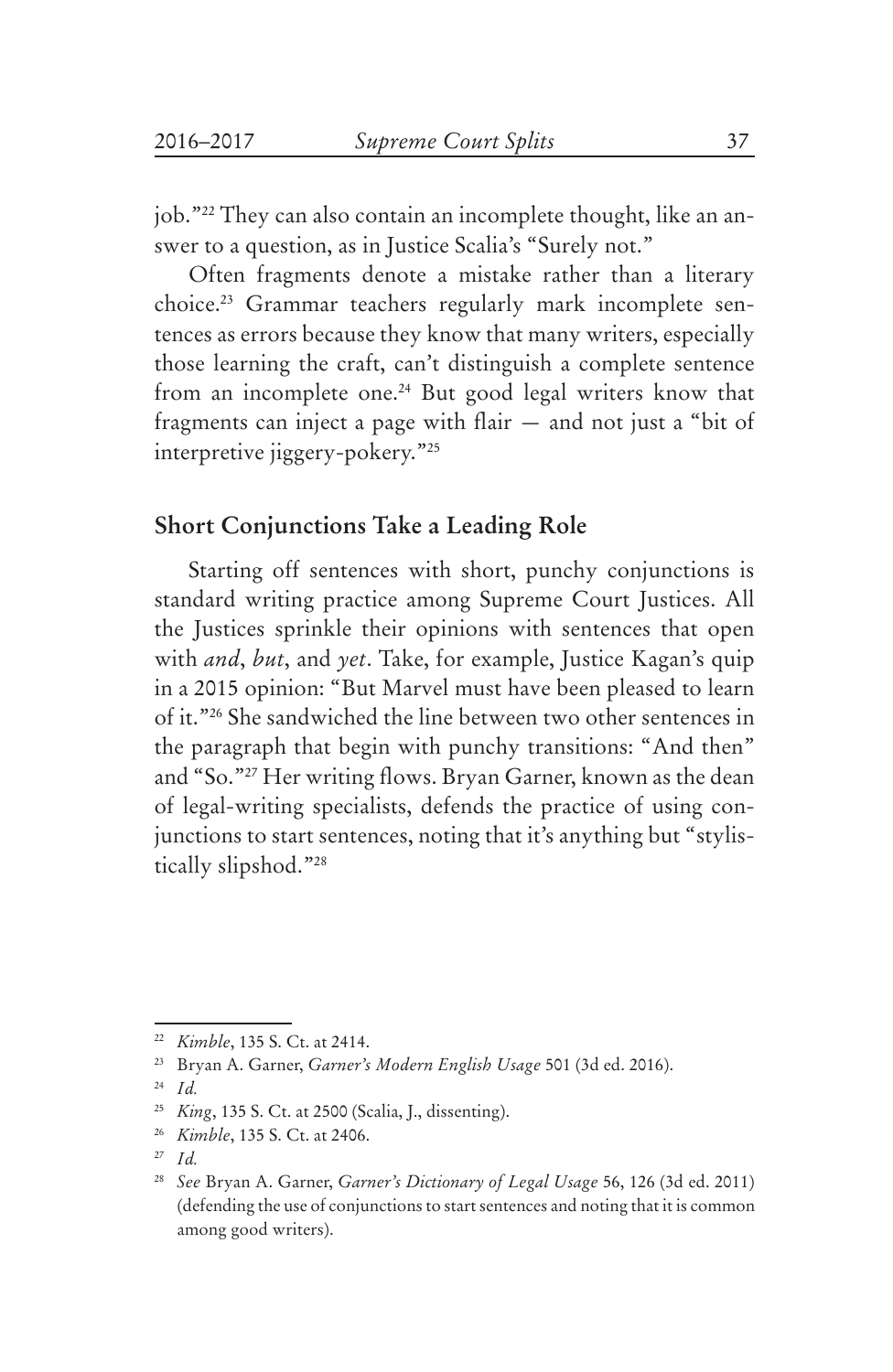job."22 They can also contain an incomplete thought, like an answer to a question, as in Justice Scalia's "Surely not."

Often fragments denote a mistake rather than a literary choice.23 Grammar teachers regularly mark incomplete sentences as errors because they know that many writers, especially those learning the craft, can't distinguish a complete sentence from an incomplete one.<sup>24</sup> But good legal writers know that fragments can inject a page with flair — and not just a "bit of interpretive jiggery-pokery."25

### **Short Conjunctions Take a Leading Role**

Starting off sentences with short, punchy conjunctions is standard writing practice among Supreme Court Justices. All the Justices sprinkle their opinions with sentences that open with *and*, *but*, and *yet*. Take, for example, Justice Kagan's quip in a 2015 opinion: "But Marvel must have been pleased to learn of it."26 She sandwiched the line between two other sentences in the paragraph that begin with punchy transitions: "And then" and "So."27 Her writing flows. Bryan Garner, known as the dean of legal-writing specialists, defends the practice of using conjunctions to start sentences, noting that it's anything but "stylistically slipshod."28

<sup>22</sup> *Kimble*, 135 S. Ct. at 2414.

<sup>23</sup> Bryan A. Garner, *Garner's Modern English Usage* 501 (3d ed. 2016).

<sup>24</sup> *Id.* 

<sup>25</sup> *King*, 135 S. Ct. at 2500 (Scalia, J., dissenting).

<sup>26</sup> *Kimble*, 135 S. Ct. at 2406.

<sup>27</sup> *Id.* 

<sup>28</sup> *See* Bryan A. Garner, *Garner's Dictionary of Legal Usage* 56, 126 (3d ed. 2011) (defending the use of conjunctions to start sentences and noting that it is common among good writers).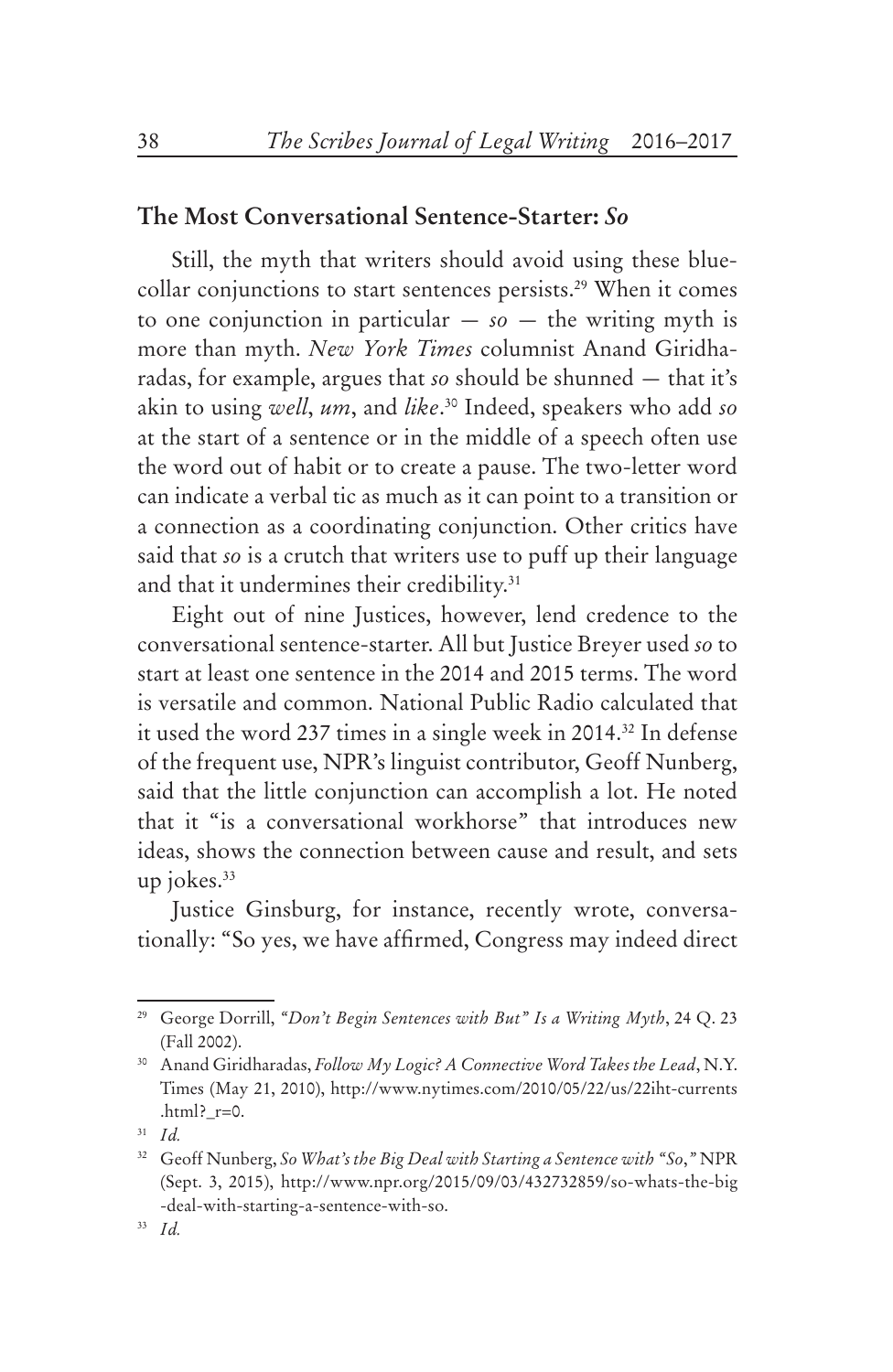#### **The Most Conversational Sentence-Starter:** *So*

Still, the myth that writers should avoid using these bluecollar conjunctions to start sentences persists.<sup>29</sup> When it comes to one conjunction in particular  $-$  *so*  $-$  the writing myth is more than myth. *New York Times* columnist Anand Giridharadas, for example, argues that *so* should be shunned — that it's akin to using *well*, *um*, and *like*. 30 Indeed, speakers who add *so* at the start of a sentence or in the middle of a speech often use the word out of habit or to create a pause. The two-letter word can indicate a verbal tic as much as it can point to a transition or a connection as a coordinating conjunction. Other critics have said that *so* is a crutch that writers use to puff up their language and that it undermines their credibility.<sup>31</sup>

Eight out of nine Justices, however, lend credence to the conversational sentence-starter. All but Justice Breyer used *so* to start at least one sentence in the 2014 and 2015 terms. The word is versatile and common. National Public Radio calculated that it used the word 237 times in a single week in 2014.32 In defense of the frequent use, NPR's linguist contributor, Geoff Nunberg, said that the little conjunction can accomplish a lot. He noted that it "is a conversational workhorse" that introduces new ideas, shows the connection between cause and result, and sets up jokes. $33$ 

Justice Ginsburg, for instance, recently wrote, conversationally: "So yes, we have affirmed, Congress may indeed direct

<sup>29</sup> George Dorrill, *"Don't Begin Sentences with But" Is a Writing Myth*, 24 Q. 23 (Fall 2002).

<sup>30</sup> Anand Giridharadas, *Follow My Logic? A Connective Word Takes the Lead*, N.Y. Times (May 21, 2010), http://www.nytimes.com/2010/05/22/us/22iht-currents .html?  $r=0$ .

<sup>31</sup> *Id.*

<sup>32</sup> Geoff Nunberg, *So What's the Big Deal with Starting a Sentence with "So*,*"* NPR (Sept. 3, 2015), http://www.npr.org/2015/09/03/432732859/so-whats-the-big -deal-with-starting-a-sentence-with-so.

<sup>33</sup> *Id.*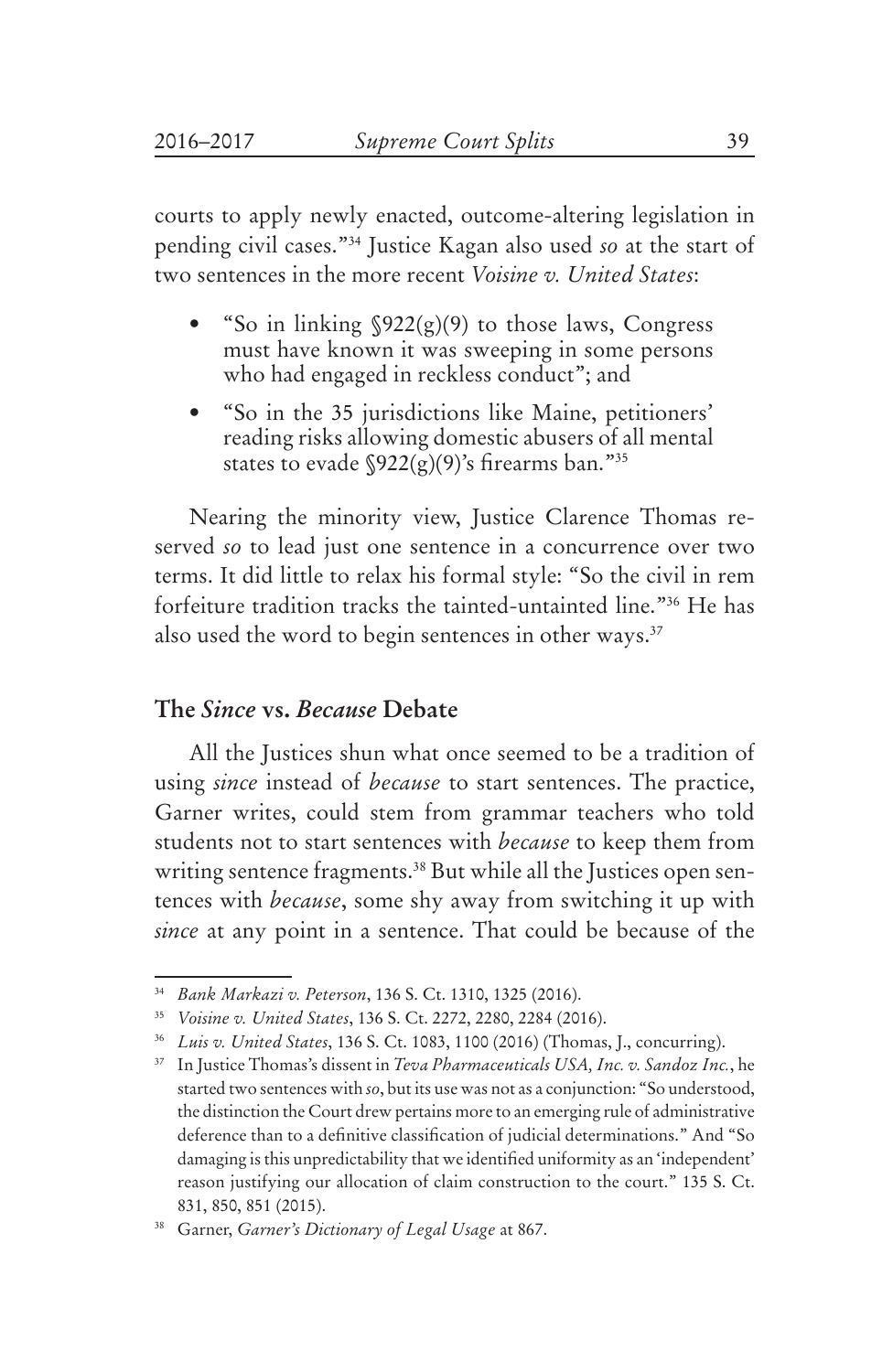courts to apply newly enacted, outcome-altering legislation in pending civil cases."34 Justice Kagan also used *so* at the start of two sentences in the more recent *Voisine v. United States*:

- "So in linking  $\sqrt{922(g)(9)}$  to those laws, Congress must have known it was sweeping in some persons who had engaged in reckless conduct"; and
- "So in the 35 jurisdictions like Maine, petitioners' reading risks allowing domestic abusers of all mental states to evade  $\sqrt{922(g)(9)}$ 's firearms ban."<sup>35</sup>

Nearing the minority view, Justice Clarence Thomas reserved *so* to lead just one sentence in a concurrence over two terms. It did little to relax his formal style: "So the civil in rem forfeiture tradition tracks the tainted-untainted line."36 He has also used the word to begin sentences in other ways.<sup>37</sup>

#### **The** *Since* **vs.** *Because* **Debate**

All the Justices shun what once seemed to be a tradition of using *since* instead of *because* to start sentences. The practice, Garner writes, could stem from grammar teachers who told students not to start sentences with *because* to keep them from writing sentence fragments.<sup>38</sup> But while all the Justices open sentences with *because*, some shy away from switching it up with *since* at any point in a sentence. That could be because of the

<sup>34</sup> *Bank Markazi v. Peterson*, 136 S. Ct. 1310, 1325 (2016).

<sup>35</sup> *Voisine v. United States*, 136 S. Ct. 2272, 2280, 2284 (2016).

<sup>36</sup> *Luis v. United States*, 136 S. Ct. 1083, 1100 (2016) (Thomas, J., concurring).

<sup>37</sup> In Justice Thomas's dissent in *Teva Pharmaceuticals USA, Inc. v. Sandoz Inc.*, he started two sentences with *so*, but its use was not as a conjunction: "So understood, the distinction the Court drew pertains more to an emerging rule of administrative deference than to a definitive classification of judicial determinations." And "So damaging is this unpredictability that we identified uniformity as an 'independent' reason justifying our allocation of claim construction to the court." 135 S. Ct. 831, 850, 851 (2015).

<sup>38</sup> Garner, *Garner's Dictionary of Legal Usage* at 867.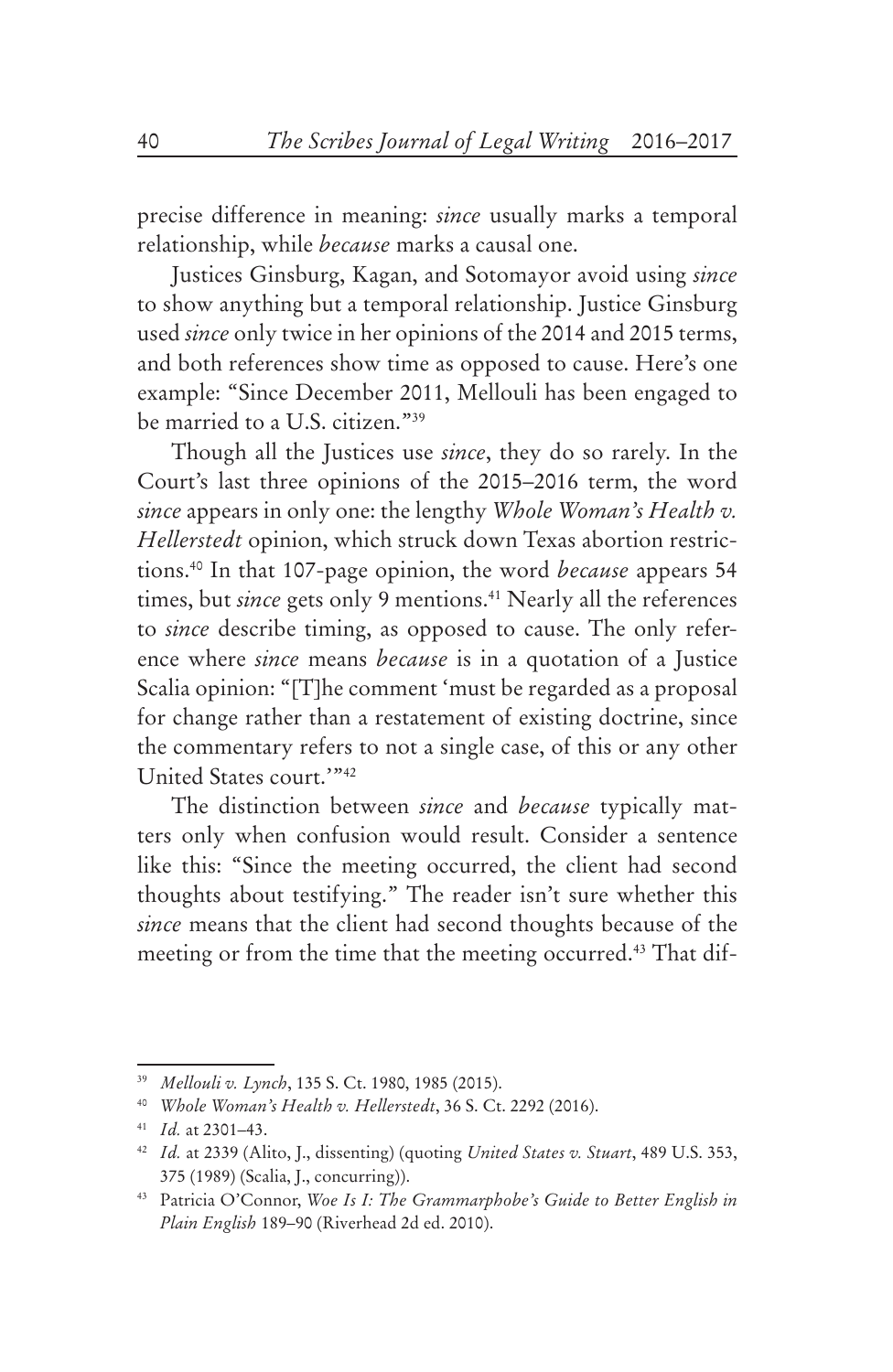precise difference in meaning: *since* usually marks a temporal relationship, while *because* marks a causal one.

Justices Ginsburg, Kagan, and Sotomayor avoid using *since* to show anything but a temporal relationship. Justice Ginsburg used *since* only twice in her opinions of the 2014 and 2015 terms, and both references show time as opposed to cause. Here's one example: "Since December 2011, Mellouli has been engaged to be married to a U.S. citizen."39

Though all the Justices use *since*, they do so rarely. In the Court's last three opinions of the 2015–2016 term, the word *since* appears in only one: the lengthy *Whole Woman's Health v. Hellerstedt* opinion, which struck down Texas abortion restrictions.40 In that 107-page opinion, the word *because* appears 54 times, but *since* gets only 9 mentions.<sup>41</sup> Nearly all the references to *since* describe timing, as opposed to cause. The only reference where *since* means *because* is in a quotation of a Justice Scalia opinion: "[T]he comment 'must be regarded as a proposal for change rather than a restatement of existing doctrine, since the commentary refers to not a single case, of this or any other United States court.'"42

The distinction between *since* and *because* typically matters only when confusion would result. Consider a sentence like this: "Since the meeting occurred, the client had second thoughts about testifying." The reader isn't sure whether this *since* means that the client had second thoughts because of the meeting or from the time that the meeting occurred.<sup>43</sup> That dif-

<sup>39</sup> *Mellouli v. Lynch*, 135 S. Ct. 1980, 1985 (2015).

<sup>40</sup> *Whole Woman's Health v. Hellerstedt*, 36 S. Ct. 2292 (2016).

<sup>41</sup> *Id.* at 2301–43.

<sup>42</sup> *Id.* at 2339 (Alito, J., dissenting) (quoting *United States v. Stuart*, 489 U.S. 353, 375 (1989) (Scalia, J., concurring)).

<sup>43</sup> Patricia O'Connor, *Woe Is I: The Grammarphobe's Guide to Better English in Plain English* 189–90 (Riverhead 2d ed. 2010).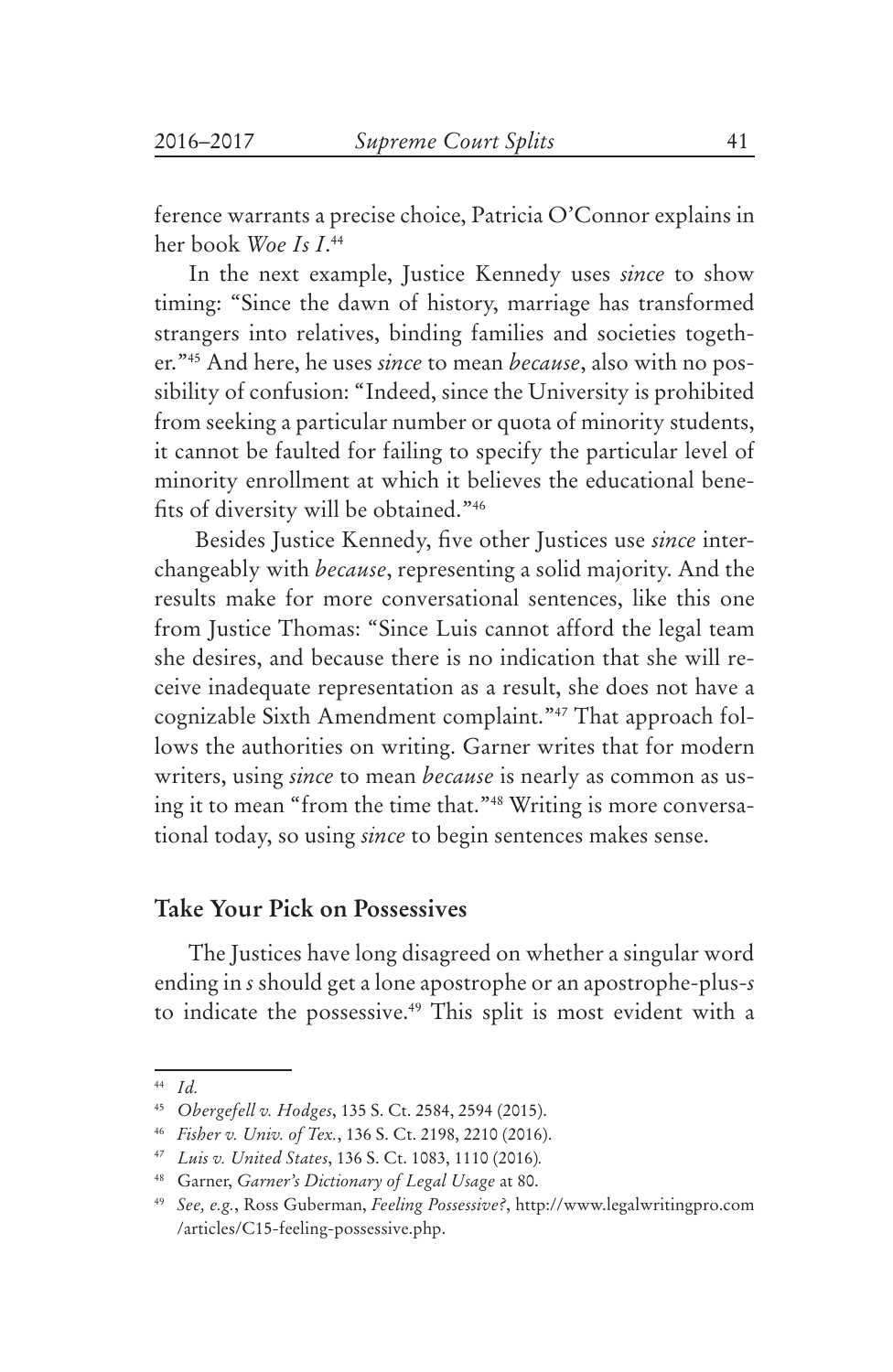ference warrants a precise choice, Patricia O'Connor explains in her book *Woe Is I*. 44

In the next example, Justice Kennedy uses *since* to show timing: "Since the dawn of history, marriage has transformed strangers into relatives, binding families and societies together."45 And here, he uses *since* to mean *because*, also with no possibility of confusion: "Indeed, since the University is prohibited from seeking a particular number or quota of minority students, it cannot be faulted for failing to specify the particular level of minority enrollment at which it believes the educational benefits of diversity will be obtained."46

 Besides Justice Kennedy, five other Justices use *since* interchangeably with *because*, representing a solid majority. And the results make for more conversational sentences, like this one from Justice Thomas: "Since Luis cannot afford the legal team she desires, and because there is no indication that she will receive inadequate representation as a result, she does not have a cognizable Sixth Amendment complaint."47 That approach follows the authorities on writing. Garner writes that for modern writers, using *since* to mean *because* is nearly as common as using it to mean "from the time that."48 Writing is more conversational today, so using *since* to begin sentences makes sense.

#### **Take Your Pick on Possessives**

The Justices have long disagreed on whether a singular word ending in *s* should get a lone apostrophe or an apostrophe-plus-*s* to indicate the possessive.<sup>49</sup> This split is most evident with a

<sup>44</sup> *Id.* 

<sup>45</sup> *Obergefell v. Hodges*, 135 S. Ct. 2584, 2594 (2015).

<sup>46</sup> *Fisher v. Univ. of Tex.*, 136 S. Ct. 2198, 2210 (2016).

<sup>47</sup> *Luis v. United States*, 136 S. Ct. 1083, 1110 (2016)*.*

<sup>48</sup> Garner, *Garner's Dictionary of Legal Usage* at 80.

<sup>49</sup> *See, e.g.*, Ross Guberman, *Feeling Possessive?*, http://www.legalwritingpro.com /articles/C15-feeling-possessive.php.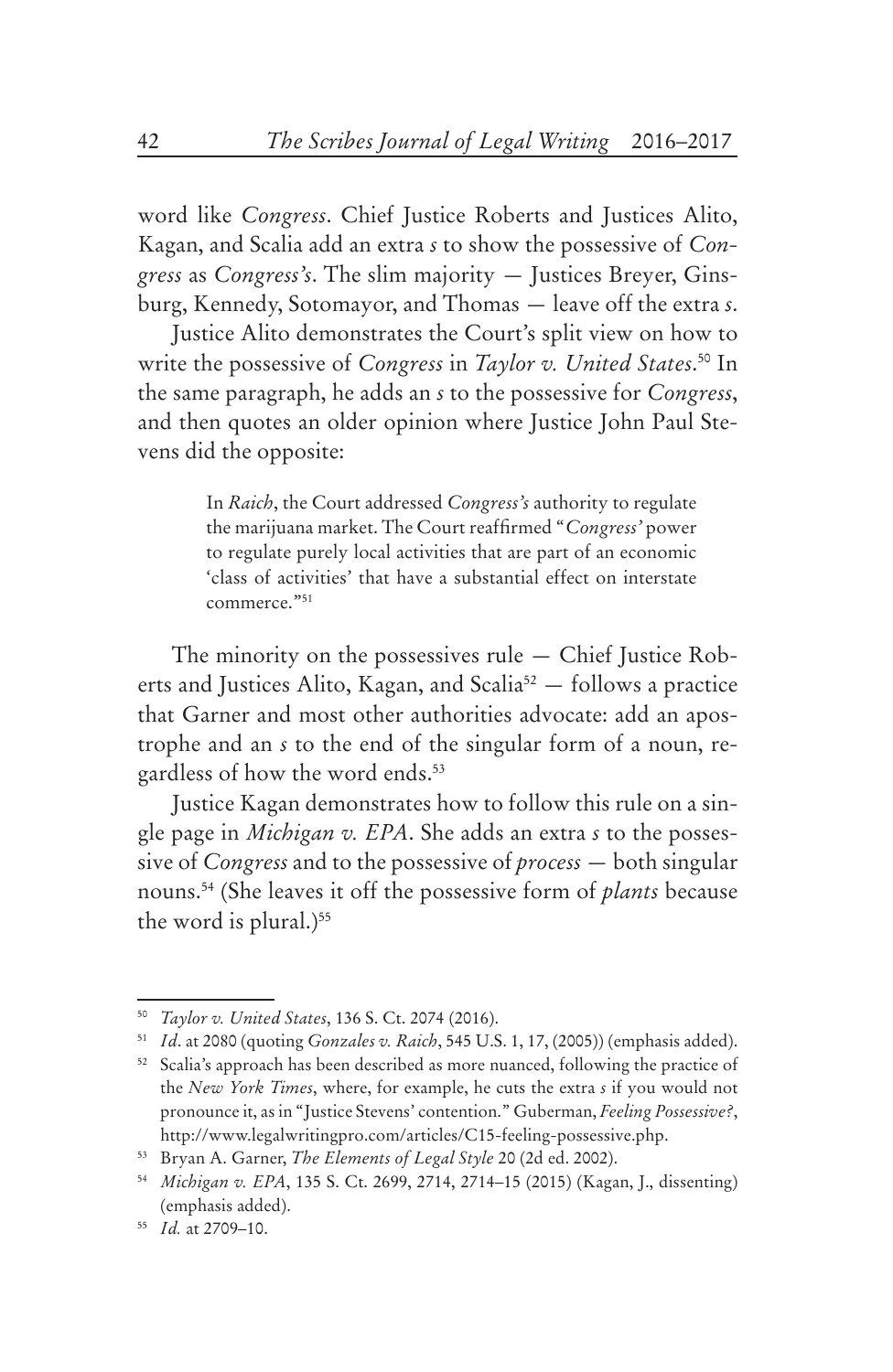word like *Congress*. Chief Justice Roberts and Justices Alito, Kagan, and Scalia add an extra *s* to show the possessive of *Congress* as *Congress's*. The slim majority — Justices Breyer, Ginsburg, Kennedy, Sotomayor, and Thomas — leave off the extra *s*.

Justice Alito demonstrates the Court's split view on how to write the possessive of *Congress* in *Taylor v. United States*. 50 In the same paragraph, he adds an *s* to the possessive for *Congress*, and then quotes an older opinion where Justice John Paul Stevens did the opposite:

> In *Raich*, the Court addressed *Congress's* authority to regulate the marijuana market. The Court reaffirmed "*Congress'* power to regulate purely local activities that are part of an economic 'class of activities' that have a substantial effect on interstate commerce."51

The minority on the possessives rule — Chief Justice Roberts and Justices Alito, Kagan, and Scalia<sup>52</sup>  $-$  follows a practice that Garner and most other authorities advocate: add an apostrophe and an *s* to the end of the singular form of a noun, regardless of how the word ends.<sup>53</sup>

Justice Kagan demonstrates how to follow this rule on a single page in *Michigan v. EPA*. She adds an extra *s* to the possessive of *Congress* and to the possessive of *process* — both singular nouns.54 (She leaves it off the possessive form of *plants* because the word is plural.) $55$ 

<sup>50</sup> *Taylor v. United States*, 136 S. Ct. 2074 (2016).

<sup>51</sup> *Id*. at 2080 (quoting *Gonzales v. Raich*, 545 U.S. 1, 17, (2005)) (emphasis added).

<sup>52</sup> Scalia's approach has been described as more nuanced, following the practice of the *New York Times*, where, for example, he cuts the extra *s* if you would not pronounce it, as in "Justice Stevens' contention." Guberman, *Feeling Possessive?*, http://www.legalwritingpro.com/articles/C15-feeling-possessive.php.

<sup>53</sup> Bryan A. Garner, *The Elements of Legal Style* 20 (2d ed. 2002).

<sup>54</sup> *Michigan v. EPA*, 135 S. Ct. 2699, 2714, 2714–15 (2015) (Kagan, J., dissenting) (emphasis added).

<sup>55</sup> *Id.* at 2709–10.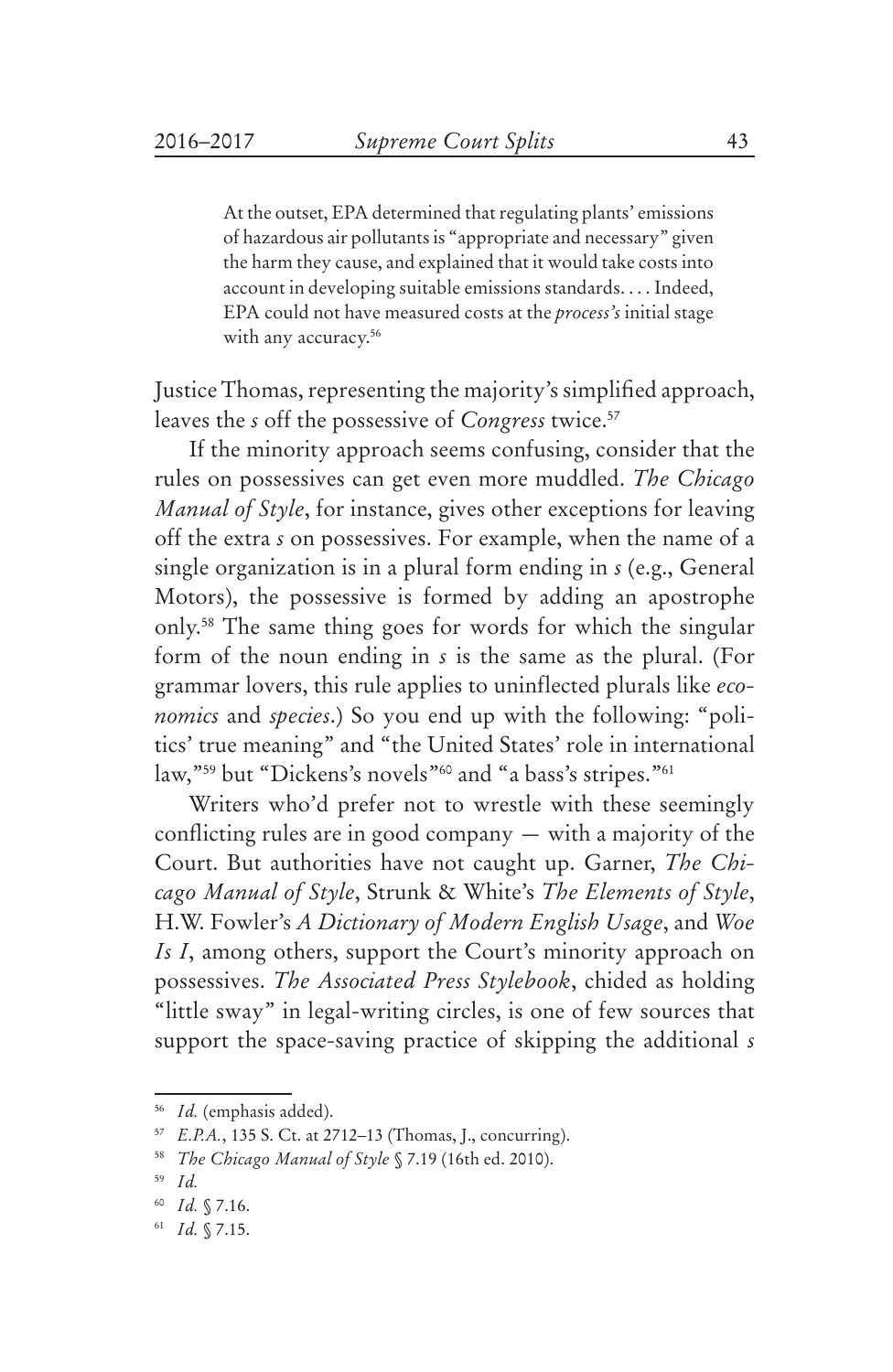At the outset, EPA determined that regulating plants' emissions of hazardous air pollutants is "appropriate and necessary" given the harm they cause, and explained that it would take costs into account in developing suitable emissions standards. . . . Indeed, EPA could not have measured costs at the *process's* initial stage with any accuracy.<sup>56</sup>

Justice Thomas, representing the majority's simplified approach, leaves the *s* off the possessive of *Congress* twice.<sup>57</sup>

If the minority approach seems confusing, consider that the rules on possessives can get even more muddled. *The Chicago Manual of Style*, for instance, gives other exceptions for leaving off the extra *s* on possessives. For example, when the name of a single organization is in a plural form ending in *s* (e.g., General Motors), the possessive is formed by adding an apostrophe only.58 The same thing goes for words for which the singular form of the noun ending in *s* is the same as the plural. (For grammar lovers, this rule applies to uninflected plurals like *economics* and *species*.) So you end up with the following: "politics' true meaning" and "the United States' role in international law,"59 but "Dickens's novels"60 and "a bass's stripes."61

Writers who'd prefer not to wrestle with these seemingly conflicting rules are in good company — with a majority of the Court. But authorities have not caught up. Garner, *The Chicago Manual of Style*, Strunk & White's *The Elements of Style*, H.W. Fowler's *A Dictionary of Modern English Usage*, and *Woe Is I*, among others, support the Court's minority approach on possessives. *The Associated Press Stylebook*, chided as holding "little sway" in legal-writing circles, is one of few sources that support the space-saving practice of skipping the additional *s*

<sup>56</sup> *Id.* (emphasis added).

<sup>57</sup> *E.P.A.*, 135 S. Ct. at 2712–13 (Thomas, J., concurring).

<sup>58</sup> *The Chicago Manual of Style* § 7.19 (16th ed. 2010).

<sup>59</sup> *Id.*

<sup>60</sup> *Id.* § 7.16.

<sup>61</sup> *Id.* § 7.15.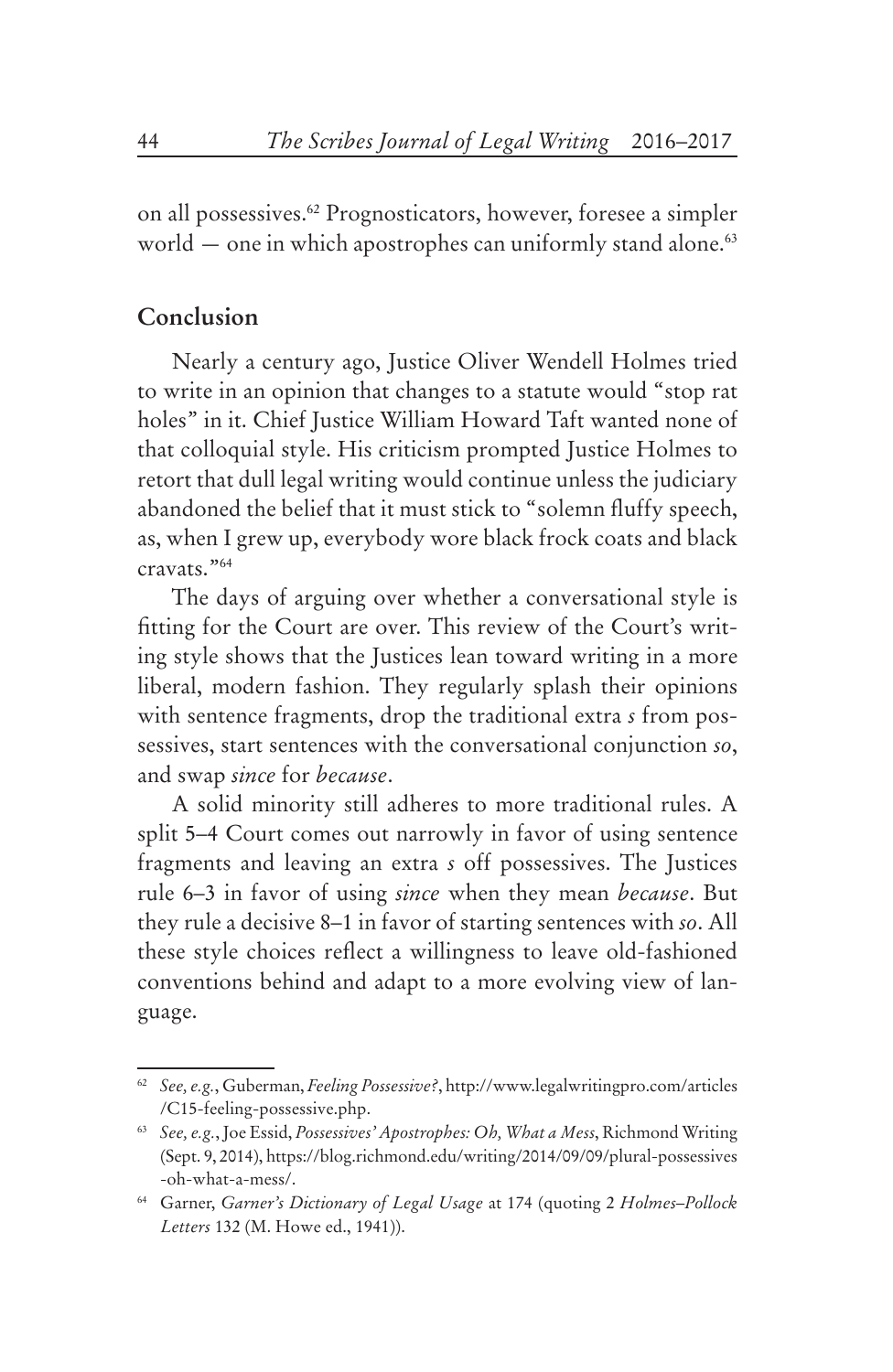on all possessives.62 Prognosticators, however, foresee a simpler world  $-$  one in which apostrophes can uniformly stand alone.<sup>63</sup>

## **Conclusion**

Nearly a century ago, Justice Oliver Wendell Holmes tried to write in an opinion that changes to a statute would "stop rat holes" in it. Chief Justice William Howard Taft wanted none of that colloquial style. His criticism prompted Justice Holmes to retort that dull legal writing would continue unless the judiciary abandoned the belief that it must stick to "solemn fluffy speech, as, when I grew up, everybody wore black frock coats and black cravats."64

The days of arguing over whether a conversational style is fitting for the Court are over. This review of the Court's writing style shows that the Justices lean toward writing in a more liberal, modern fashion. They regularly splash their opinions with sentence fragments, drop the traditional extra *s* from possessives, start sentences with the conversational conjunction *so*, and swap *since* for *because*.

A solid minority still adheres to more traditional rules. A split 5–4 Court comes out narrowly in favor of using sentence fragments and leaving an extra *s* off possessives. The Justices rule 6–3 in favor of using *since* when they mean *because*. But they rule a decisive 8–1 in favor of starting sentences with *so*. All these style choices reflect a willingness to leave old-fashioned conventions behind and adapt to a more evolving view of language.

<sup>62</sup> *See, e.g.*, Guberman, *Feeling Possessive?*, http://www.legalwritingpro.com/articles /C15-feeling-possessive.php.

<sup>63</sup> *See, e.g.*,Joe Essid, *Possessives' Apostrophes: Oh, What a Mess*, Richmond Writing (Sept. 9, 2014), https://blog.richmond.edu/writing/2014/09/09/plural-possessives -oh-what-a-mess/.

<sup>64</sup> Garner, *Garner's Dictionary of Legal Usage* at 174 (quoting 2 *Holmes–Pollock Letters* 132 (M. Howe ed., 1941)).